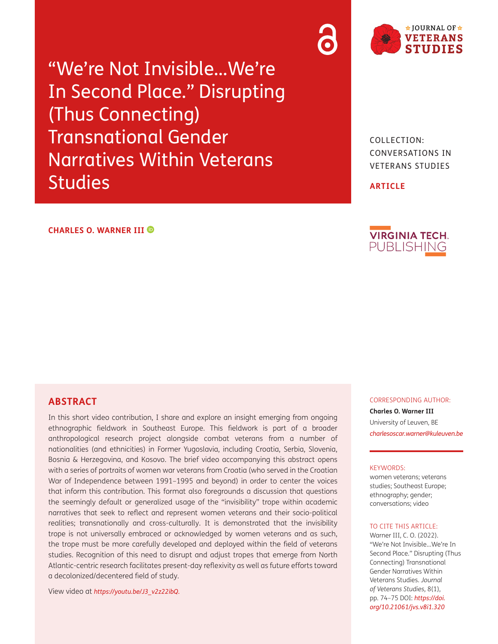"We're Not Invisible…We're In Second Place." Disrupting (Thus Connecting) Transnational Gender Narratives Within Veterans **Studies** 

## **CHARLES O. WARNER III**

**ABSTRACT**

In this short video contribution, I share and explore an insight emerging from ongoing ethnographic fieldwork in Southeast Europe. This fieldwork is part of a broader anthropological research project alongside combat veterans from a number of nationalities (and ethnicities) in Former Yugoslavia, including Croatia, Serbia, Slovenia, Bosnia & Herzegovina, and Kosovo. The brief video accompanying this abstract opens with a series of portraits of women war veterans from Croatia (who served in the Croatian War of Independence between 1991–1995 and beyond) in order to center the voices that inform this contribution. This format also foregrounds a discussion that questions the seemingly default or generalized usage of the "invisibility" trope within academic narratives that seek to reflect and represent women veterans and their socio-political realities; transnationally and cross-culturally. It is demonstrated that the invisibility trope is not universally embraced or acknowledged by women veterans and as such, the trope must be more carefully developed and deployed within the field of veterans studies. Recognition of this need to disrupt and adjust tropes that emerge from North Atlantic-centric research facilitates present-day reflexivity as well as future efforts toward a decolonized/decentered field of study.

View video at *[https://youtu.be/J3\\_v2z22ibQ](https://youtu.be/J3_v2z22ibQ).*

COLLECTION: CONVERSATIONS IN VETERANS STUDIES

**ARTICLE**



### CORRESPONDING AUTHOR:

**Charles O. Warner III** University of Leuven, BE *[charlesoscar.warner@kuleuven.be](mailto:charlesoscar.warner@kuleuven.be)*

### KEYWORDS:

women veterans; veterans studies; Southeast Europe; ethnography; gender; conversations; video

### TO CITE THIS ARTICLE:

Warner III, C. O. (2022). "We're Not Invisible…We're In Second Place." Disrupting (Thus Connecting) Transnational Gender Narratives Within Veterans Studies. *Journal of Veterans Studies,* 8(1), pp. 74–75 DOI: *[https://doi.](https://doi.org/10.21061/jvs.v8i1.320) [org/10.21061/jvs.v8i1.320](https://doi.org/10.21061/jvs.v8i1.320)*